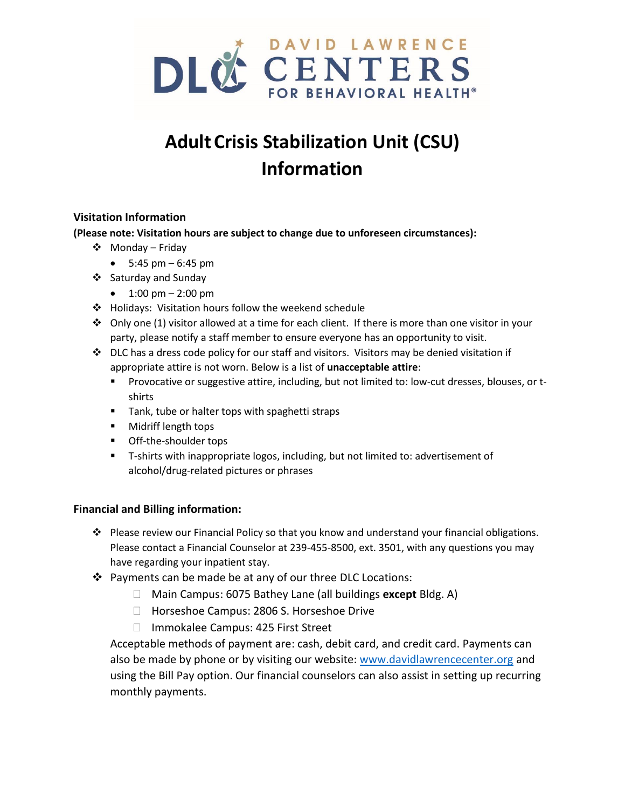

# **AdultCrisis Stabilization Unit (CSU) Information**

# **Visitation Information**

**(Please note: Visitation hours are subject to change due to unforeseen circumstances):**

- ❖ Monday Friday
	- $5:45 \text{ pm} 6:45 \text{ pm}$
- ❖ Saturday and Sunday
	- $1:00 \text{ pm} 2:00 \text{ pm}$
- ❖ Holidays: Visitation hours follow the weekend schedule
- ◆ Only one (1) visitor allowed at a time for each client. If there is more than one visitor in your party, please notify a staff member to ensure everyone has an opportunity to visit.
- ❖ DLC has a dress code policy for our staff and visitors. Visitors may be denied visitation if appropriate attire is not worn. Below is a list of **unacceptable attire**:
	- **•** Provocative or suggestive attire, including, but not limited to: low-cut dresses, blouses, or tshirts
	- Tank, tube or halter tops with spaghetti straps
	- Midriff length tops
	- Off-the-shoulder tops
	- T-shirts with inappropriate logos, including, but not limited to: advertisement of alcohol/drug-related pictures or phrases

## **Financial and Billing information:**

- ❖ Please review our Financial Policy so that you know and understand your financial obligations. Please contact a Financial Counselor at 239-455-8500, ext. 3501, with any questions you may have regarding your inpatient stay.
- ❖ Payments can be made be at any of our three DLC Locations:
	- Main Campus: 6075 Bathey Lane (all buildings **except** Bldg. A)
	- □ Horseshoe Campus: 2806 S. Horseshoe Drive
	- □ Immokalee Campus: 425 First Street

Acceptable methods of payment are: cash, debit card, and credit card. Payments can also be made by phone or by visiting our website: [www.davidlawrencecenter.org](http://www.davidlawrencecenter.org/) and using the Bill Pay option. Our financial counselors can also assist in setting up recurring monthly payments.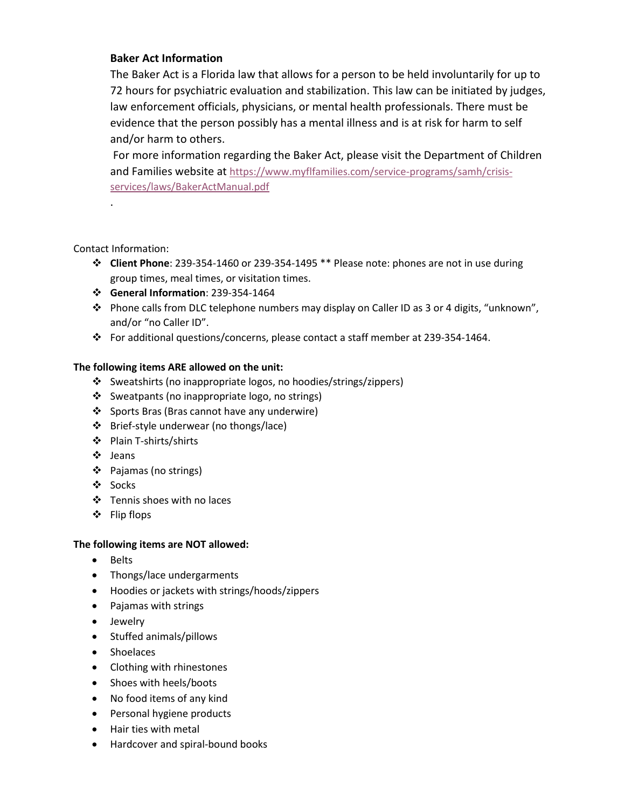## **Baker Act Information**

The Baker Act is a Florida law that allows for a person to be held involuntarily for up to 72 hours for psychiatric evaluation and stabilization. This law can be initiated by judges, law enforcement officials, physicians, or mental health professionals. There must be evidence that the person possibly has a mental illness and is at risk for harm to self and/or harm to others.

For more information regarding the Baker Act, please visit the Department of Children and Families website at [https://www.myflfamilies.com/service-programs/samh/crisis](https://www.myflfamilies.com/service-programs/samh/crisis-services/laws/BakerActManual.pdf)[services/laws/BakerActManual.pdf](https://www.myflfamilies.com/service-programs/samh/crisis-services/laws/BakerActManual.pdf)

#### Contact Information:

.

- ❖ **Client Phone**: 239-354-1460 or 239-354-1495 \*\* Please note: phones are not in use during group times, meal times, or visitation times.
- ❖ **General Information**: 239-354-1464
- ❖ Phone calls from DLC telephone numbers may display on Caller ID as 3 or 4 digits, "unknown", and/or "no Caller ID".
- ❖ For additional questions/concerns, please contact a staff member at 239-354-1464.

#### **The following items ARE allowed on the unit:**

- ❖ Sweatshirts (no inappropriate logos, no hoodies/strings/zippers)
- ❖ Sweatpants (no inappropriate logo, no strings)
- ❖ Sports Bras (Bras cannot have any underwire)
- ❖ Brief-style underwear (no thongs/lace)
- ❖ Plain T-shirts/shirts
- ❖ Jeans
- ❖ Pajamas (no strings)
- ❖ Socks
- ❖ Tennis shoes with no laces
- ❖ Flip flops

#### **The following items are NOT allowed:**

- Belts
- Thongs/lace undergarments
- Hoodies or jackets with strings/hoods/zippers
- Pajamas with strings
- Jewelry
- Stuffed animals/pillows
- Shoelaces
- Clothing with rhinestones
- Shoes with heels/boots
- No food items of any kind
- Personal hygiene products
- Hair ties with metal
- Hardcover and spiral-bound books